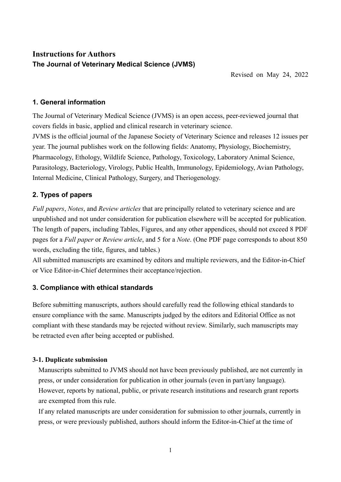# **Instructions for Authors The Journal of Veterinary Medical Science (JVMS)**

Revised on May 24, 2022

# **1. General information**

The Journal of Veterinary Medical Science (JVMS) is an open access, peer-reviewed journal that covers fields in basic, applied and clinical research in veterinary science.

JVMS is the official journal of the Japanese Society of Veterinary Science and releases 12 issues per year. The journal publishes work on the following fields: Anatomy, Physiology, Biochemistry, Pharmacology, Ethology, Wildlife Science, Pathology, Toxicology, Laboratory Animal Science, Parasitology, Bacteriology, Virology, Public Health, Immunology, Epidemiology, Avian Pathology, Internal Medicine, Clinical Pathology, Surgery, and Theriogenology.

# **2. Types of papers**

*Full papers*, *Notes*, and *Review articles* that are principally related to veterinary science and are unpublished and not under consideration for publication elsewhere will be accepted for publication. The length of papers, including Tables, Figures, and any other appendices, should not exceed 8 PDF pages for a *Full paper* or *Review article*, and 5 for a *Note*. (One PDF page corresponds to about 850 words, excluding the title, figures, and tables.)

All submitted manuscripts are examined by editors and multiple reviewers, and the Editor-in-Chief or Vice Editor-in-Chief determines their acceptance/rejection.

# **3. Compliance with ethical standards**

Before submitting manuscripts, authors should carefully read the following ethical standards to ensure compliance with the same. Manuscripts judged by the editors and Editorial Office as not compliant with these standards may be rejected without review. Similarly, such manuscripts may be retracted even after being accepted or published.

## **3-1. Duplicate submission**

Manuscripts submitted to JVMS should not have been previously published, are not currently in press, or under consideration for publication in other journals (even in part/any language). However, reports by national, public, or private research institutions and research grant reports are exempted from this rule.

If any related manuscripts are under consideration for submission to other journals, currently in press, or were previously published, authors should inform the Editor-in-Chief at the time of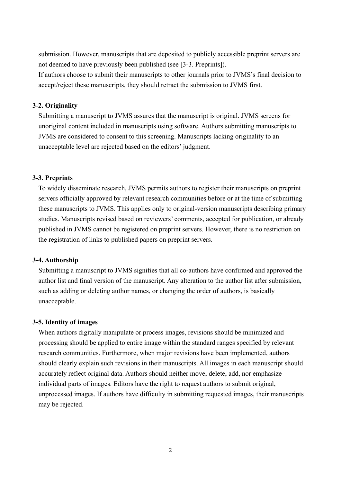submission. However, manuscripts that are deposited to publicly accessible preprint servers are not deemed to have previously been published (see [3-3. Preprints]).

If authors choose to submit their manuscripts to other journals prior to JVMS's final decision to accept/reject these manuscripts, they should retract the submission to JVMS first.

#### **3-2. Originality**

Submitting a manuscript to JVMS assures that the manuscript is original. JVMS screens for unoriginal content included in manuscripts using software. Authors submitting manuscripts to JVMS are considered to consent to this screening. Manuscripts lacking originality to an unacceptable level are rejected based on the editors' judgment.

#### **3-3. Preprints**

To widely disseminate research, JVMS permits authors to register their manuscripts on preprint servers officially approved by relevant research communities before or at the time of submitting these manuscripts to JVMS. This applies only to original-version manuscripts describing primary studies. Manuscripts revised based on reviewers' comments, accepted for publication, or already published in JVMS cannot be registered on preprint servers. However, there is no restriction on the registration of links to published papers on preprint servers.

#### **3-4. Authorship**

Submitting a manuscript to JVMS signifies that all co-authors have confirmed and approved the author list and final version of the manuscript. Any alteration to the author list after submission, such as adding or deleting author names, or changing the order of authors, is basically unacceptable.

#### **3-5. Identity of images**

When authors digitally manipulate or process images, revisions should be minimized and processing should be applied to entire image within the standard ranges specified by relevant research communities. Furthermore, when major revisions have been implemented, authors should clearly explain such revisions in their manuscripts. All images in each manuscript should accurately reflect original data. Authors should neither move, delete, add, nor emphasize individual parts of images. Editors have the right to request authors to submit original, unprocessed images. If authors have difficulty in submitting requested images, their manuscripts may be rejected.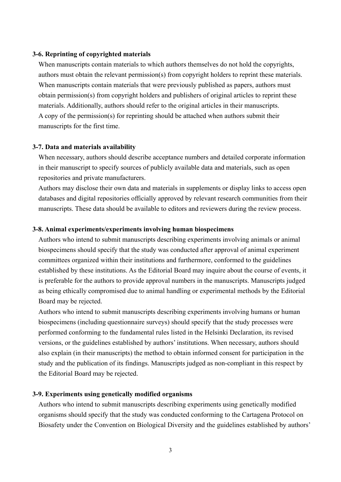#### **3-6. Reprinting of copyrighted materials**

When manuscripts contain materials to which authors themselves do not hold the copyrights, authors must obtain the relevant permission(s) from copyright holders to reprint these materials. When manuscripts contain materials that were previously published as papers, authors must obtain permission(s) from copyright holders and publishers of original articles to reprint these materials. Additionally, authors should refer to the original articles in their manuscripts. A copy of the permission(s) for reprinting should be attached when authors submit their manuscripts for the first time.

#### **3-7. Data and materials availability**

When necessary, authors should describe acceptance numbers and detailed corporate information in their manuscript to specify sources of publicly available data and materials, such as open repositories and private manufacturers.

Authors may disclose their own data and materials in supplements or display links to access open databases and digital repositories officially approved by relevant research communities from their manuscripts. These data should be available to editors and reviewers during the review process.

#### **3-8. Animal experiments/experiments involving human biospecimens**

Authors who intend to submit manuscripts describing experiments involving animals or animal biospecimens should specify that the study was conducted after approval of animal experiment committees organized within their institutions and furthermore, conformed to the guidelines established by these institutions. As the Editorial Board may inquire about the course of events, it is preferable for the authors to provide approval numbers in the manuscripts. Manuscripts judged as being ethically compromised due to animal handling or experimental methods by the Editorial Board may be rejected.

Authors who intend to submit manuscripts describing experiments involving humans or human biospecimens (including questionnaire surveys) should specify that the study processes were performed conforming to the fundamental rules listed in the Helsinki Declaration, its revised versions, or the guidelines established by authors' institutions. When necessary, authors should also explain (in their manuscripts) the method to obtain informed consent for participation in the study and the publication of its findings. Manuscripts judged as non-compliant in this respect by the Editorial Board may be rejected.

#### **3-9. Experiments using genetically modified organisms**

Authors who intend to submit manuscripts describing experiments using genetically modified organisms should specify that the study was conducted conforming to the Cartagena Protocol on Biosafety under the Convention on Biological Diversity and the guidelines established by authors'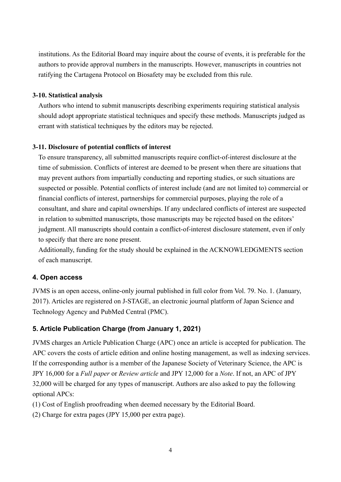institutions. As the Editorial Board may inquire about the course of events, it is preferable for the authors to provide approval numbers in the manuscripts. However, manuscripts in countries not ratifying the Cartagena Protocol on Biosafety may be excluded from this rule.

### **3-10. Statistical analysis**

Authors who intend to submit manuscripts describing experiments requiring statistical analysis should adopt appropriate statistical techniques and specify these methods. Manuscripts judged as errant with statistical techniques by the editors may be rejected.

## **3-11. Disclosure of potential conflicts of interest**

To ensure transparency, all submitted manuscripts require conflict-of-interest disclosure at the time of submission. Conflicts of interest are deemed to be present when there are situations that may prevent authors from impartially conducting and reporting studies, or such situations are suspected or possible. Potential conflicts of interest include (and are not limited to) commercial or financial conflicts of interest, partnerships for commercial purposes, playing the role of a consultant, and share and capital ownerships. If any undeclared conflicts of interest are suspected in relation to submitted manuscripts, those manuscripts may be rejected based on the editors' judgment. All manuscripts should contain a conflict-of-interest disclosure statement, even if only to specify that there are none present.

Additionally, funding for the study should be explained in the ACKNOWLEDGMENTS section of each manuscript.

## **4. Open access**

JVMS is an open access, online-only journal published in full color from Vol. 79. No. 1. (January, 2017). Articles are registered on J-STAGE, an electronic journal platform of Japan Science and Technology Agency and PubMed Central (PMC).

## **5. Article Publication Charge (from January 1, 2021)**

JVMS charges an Article Publication Charge (APC) once an article is accepted for publication. The APC covers the costs of article edition and online hosting management, as well as indexing services. If the corresponding author is a member of the Japanese Society of Veterinary Science, the APC is JPY 16,000 for a *Full paper* or *Review article* and JPY 12,000 for a *Note*. If not, an APC of JPY 32,000 will be charged for any types of manuscript. Authors are also asked to pay the following optional APCs:

(1) Cost of English proofreading when deemed necessary by the Editorial Board.

(2) Charge for extra pages (JPY 15,000 per extra page).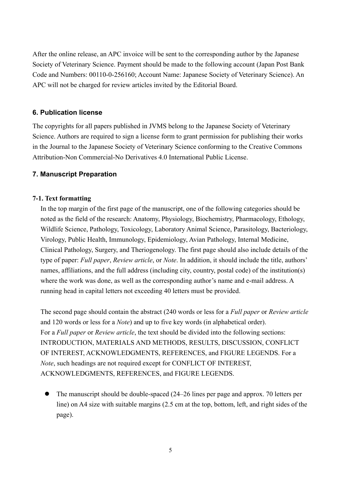After the online release, an APC invoice will be sent to the corresponding author by the Japanese Society of Veterinary Science. Payment should be made to the following account (Japan Post Bank Code and Numbers: 00110-0-256160; Account Name: Japanese Society of Veterinary Science). An APC will not be charged for review articles invited by the Editorial Board.

### **6. Publication license**

The copyrights for all papers published in JVMS belong to the Japanese Society of Veterinary Science. Authors are required to sign a license form to grant permission for publishing their works in the Journal to the Japanese Society of Veterinary Science conforming to the Creative Commons Attribution-Non Commercial-No Derivatives 4.0 International Public License.

### **7. Manuscript Preparation**

### **7-1. Text formatting**

In the top margin of the first page of the manuscript, one of the following categories should be noted as the field of the research: Anatomy, Physiology, Biochemistry, Pharmacology, Ethology, Wildlife Science, Pathology, Toxicology, Laboratory Animal Science, Parasitology, Bacteriology, Virology, Public Health, Immunology, Epidemiology, Avian Pathology, Internal Medicine, Clinical Pathology, Surgery, and Theriogenology. The first page should also include details of the type of paper: *Full paper*, *Review article*, or *Note*. In addition, it should include the title, authors' names, affiliations, and the full address (including city, country, postal code) of the institution(s) where the work was done, as well as the corresponding author's name and e-mail address. A running head in capital letters not exceeding 40 letters must be provided.

The second page should contain the abstract (240 words or less for a *Full paper* or *Review article*  and 120 words or less for a *Note*) and up to five key words (in alphabetical order). For a *Full paper* or *Review article*, the text should be divided into the following sections: INTRODUCTION, MATERIALS AND METHODS, RESULTS, DISCUSSION, CONFLICT OF INTEREST, ACKNOWLEDGMENTS, REFERENCES, and FIGURE LEGENDS. For a *Note*, such headings are not required except for CONFLICT OF INTEREST, ACKNOWLEDGMENTS, REFERENCES, and FIGURE LEGENDS.

 The manuscript should be double-spaced (24–26 lines per page and approx. 70 letters per line) on A4 size with suitable margins (2.5 cm at the top, bottom, left, and right sides of the page).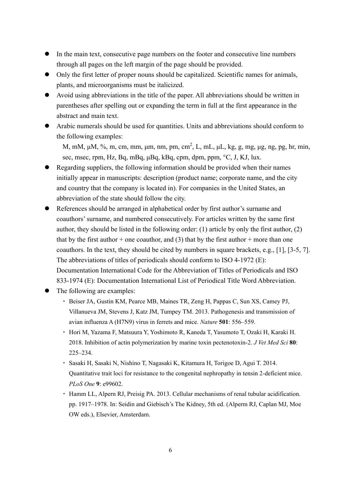- In the main text, consecutive page numbers on the footer and consecutive line numbers through all pages on the left margin of the page should be provided.
- Only the first letter of proper nouns should be capitalized. Scientific names for animals, plants, and microorganisms must be italicized.
- Avoid using abbreviations in the title of the paper. All abbreviations should be written in parentheses after spelling out or expanding the term in full at the first appearance in the abstract and main text.
- Arabic numerals should be used for quantities. Units and abbreviations should conform to the following examples:

M, mM, μM, %, m, cm, mm, μm, nm, pm, cm<sup>2</sup>, L, mL, μL, kg, g, mg, μg, ng, pg, hr, min, sec, msec, rpm, Hz, Bq, mBq, μBq, kBq, cpm, dpm, ppm, °C, J, KJ, lux.

- Regarding suppliers, the following information should be provided when their names initially appear in manuscripts: description (product name; corporate name, and the city and country that the company is located in). For companies in the United States, an abbreviation of the state should follow the city.
- References should be arranged in alphabetical order by first author's surname and coauthors' surname, and numbered consecutively. For articles written by the same first author, they should be listed in the following order: (1) article by only the first author, (2) that by the first author + one coauthor, and (3) that by the first author + more than one coauthors. In the text, they should be cited by numbers in square brackets, e.g., [1], [3-5, 7]. The abbreviations of titles of periodicals should conform to ISO 4-1972 (E): Documentation International Code for the Abbreviation of Titles of Periodicals and ISO 833-1974 (E): Documentation International List of Periodical Title Word Abbreviation.
- The following are examples:
	- ・ Beiser JA, Gustin KM, Pearce MB, Maines TR, Zeng H, Pappas C, Sun XS, Camey PJ, Villanueva JM, Stevens J, Katz JM, Tumpey TM. 2013. Pathogenesis and transmission of avian influenza A (H7N9) virus in ferrets and mice. *Nature* **501**: 556–559.
	- ・ Hori M, Yazama F, Matsuura Y, Yoshimoto R, Kaneda T, Yasumoto T, Ozaki H, Karaki H. 2018. Inhibition of actin polymerization by marine toxin pectenotoxin-2. *J Vet Med Sci* **80**: 225–234.
	- ・ Sasaki H, Sasaki N, Nishino T, Nagasaki K, Kitamura H, Torigoe D, Agui T. 2014. Quantitative trait loci for resistance to the congenital nephropathy in tensin 2-deficient mice. *PLoS One* **9**: e99602.
	- ・ Hamm LL, Alpern RJ, Preisig PA. 2013. Cellular mechanisms of renal tubular acidification. pp. 1917–1978. In: Seidin and Giebisch's The Kidney, 5th ed. (Alperm RJ, Caplan MJ, Moe OW eds.), Elsevier, Amsterdam.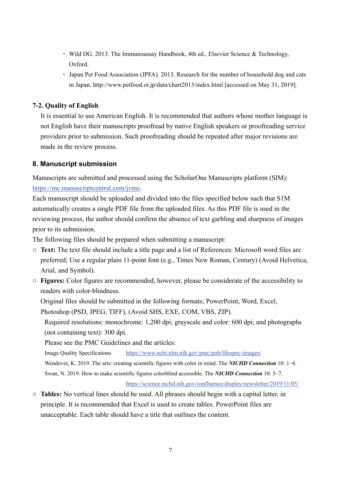- ・ Wild DG. 2013. The Immunoassay Handbook, 4th ed., Elsevier Science & Technology, Oxford.
- ・ Japan Pet Food Association (JPFA). 2013. Research for the number of household dog and cats in Japan. http://www.petfood.or.jp/data/chart2013/index.html [accessed on May 31, 2019].

## **7-2. Quality of English**

It is essential to use American English. It is recommended that authors whose mother language is not English have their manuscripts proofread by native English speakers or proofreading service providers prior to submission. Such proofreading should be repeated after major revisions are made in the review process.

## **8. Manuscript submission**

Manuscripts are submitted and processed using the ScholarOne Manuscripts platform (SlM): [https://mc.manuscriptcentral.com/jvms.](https://mc.manuscriptcentral.com/jvms)

Each manuscript should be uploaded and divided into the files specified below such that S1M automatically creates a single PDF file from the uploaded files. As this PDF file is used in the reviewing process, the author should confirm the absence of text garbling and sharpness of images prior to its submission.

The following files should be prepared when submitting a manuscript:

- **Text:** The text file should include a title page and a list of References: Microsoft word files are preferred; Use a regular plain 11-point font (e.g., Times New Roman, Century) (Avoid Helvetica, Arial, and Symbol).
- **Figures:** Color figures are recommended, however, please be considerate of the accessibility to readers with color-blindness.

Original files should be submitted in the following formats; PowerPoint, Word, Excel, Photoshop (PSD, JPEG, TIFF), (Avoid SHS, EXE, COM, VBS, ZIP).

Required resolutions: monochrome: 1,200 dpi; grayscale and color: 600 dpi; and photographs (not containing text): 300 dpi.

Please see the PMC Guidelines and the articles:

Image Quality Specifications <https://www.ncbi.nlm.nih.gov/pmc/pub/filespec-images/>

Wendover, K. 2019. The arts: creating scientific figures with color in mind. The *NICHD Connection* 10: 1–4. Swan, N. 2019. How to make scientific figures colorblind accessible. The *NICHD Connection* 10: 5–7.

<https://science.nichd.nih.gov/confluence/display/newsletter/2019/11/05/>

○ **Tables:** No vertical lines should be used. All phrases should begin with a capital letter, in principle. It is recommended that Excel is used to create tables. PowerPoint files are unacceptable. Each table should have a title that outlines the content.